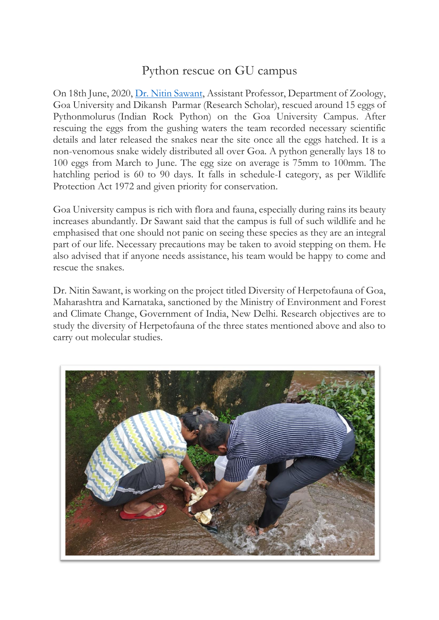## Python rescue on GU campus

On 18th June, 2020, [Dr. Nitin Sawant,](https://www.unigoa.ac.in/faculty/nitin-s-sawant.html) Assistant Professor, Department of Zoology, Goa University and Dikansh Parmar (Research Scholar), rescued around 15 eggs of Pythonmolurus (Indian Rock Python) on the Goa University Campus. After rescuing the eggs from the gushing waters the team recorded necessary scientific details and later released the snakes near the site once all the eggs hatched. It is a non-venomous snake widely distributed all over Goa. A python generally lays 18 to 100 eggs from March to June. The egg size on average is 75mm to 100mm. The hatchling period is 60 to 90 days. It falls in schedule-I category, as per Wildlife Protection Act 1972 and given priority for conservation.

Goa University campus is rich with flora and fauna, especially during rains its beauty increases abundantly. Dr Sawant said that the campus is full of such wildlife and he emphasised that one should not panic on seeing these species as they are an integral part of our life. Necessary precautions may be taken to avoid stepping on them. He also advised that if anyone needs assistance, his team would be happy to come and rescue the snakes.

Dr. Nitin Sawant, is working on the project titled Diversity of Herpetofauna of Goa, Maharashtra and Karnataka, sanctioned by the Ministry of Environment and Forest and Climate Change, Government of India, New Delhi. Research objectives are to study the diversity of Herpetofauna of the three states mentioned above and also to carry out molecular studies.

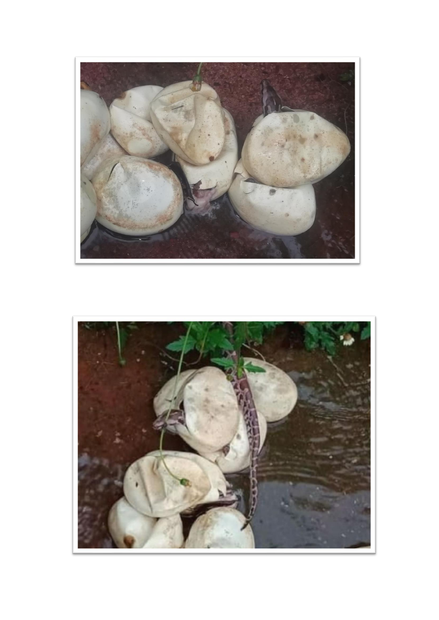